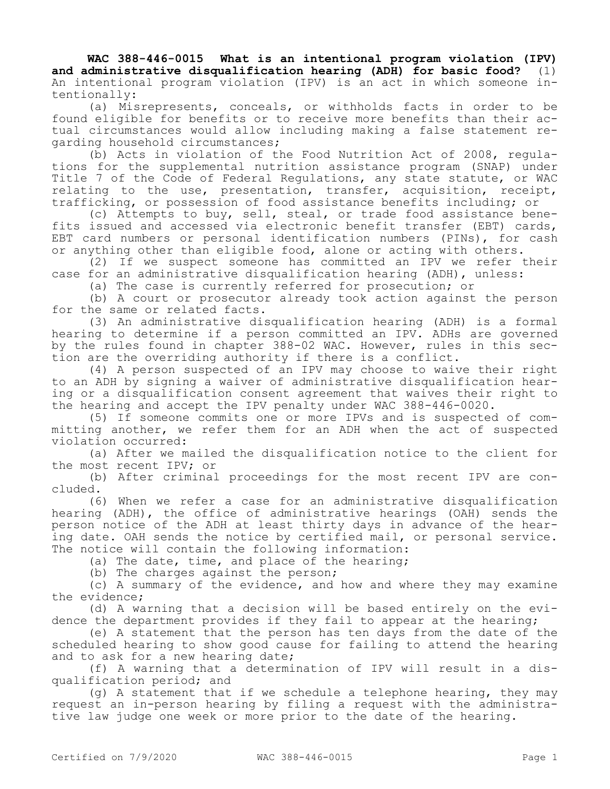**WAC 388-446-0015 What is an intentional program violation (IPV) and administrative disqualification hearing (ADH) for basic food?** (1) An intentional program violation (IPV) is an act in which someone intentionally:

(a) Misrepresents, conceals, or withholds facts in order to be found eligible for benefits or to receive more benefits than their actual circumstances would allow including making a false statement regarding household circumstances;

(b) Acts in violation of the Food Nutrition Act of 2008, regulations for the supplemental nutrition assistance program (SNAP) under Title 7 of the Code of Federal Regulations, any state statute, or WAC relating to the use, presentation, transfer, acquisition, receipt, trafficking, or possession of food assistance benefits including; or

(c) Attempts to buy, sell, steal, or trade food assistance benefits issued and accessed via electronic benefit transfer (EBT) cards, EBT card numbers or personal identification numbers (PINs), for cash or anything other than eligible food, alone or acting with others.

(2) If we suspect someone has committed an IPV we refer their case for an administrative disqualification hearing (ADH), unless:

(a) The case is currently referred for prosecution; or

(b) A court or prosecutor already took action against the person for the same or related facts.

(3) An administrative disqualification hearing (ADH) is a formal hearing to determine if a person committed an IPV. ADHs are governed by the rules found in chapter 388-02 WAC. However, rules in this section are the overriding authority if there is a conflict.

(4) A person suspected of an IPV may choose to waive their right to an ADH by signing a waiver of administrative disqualification hearing or a disqualification consent agreement that waives their right to the hearing and accept the IPV penalty under WAC 388-446-0020.

(5) If someone commits one or more IPVs and is suspected of committing another, we refer them for an ADH when the act of suspected violation occurred:

(a) After we mailed the disqualification notice to the client for the most recent IPV; or

(b) After criminal proceedings for the most recent IPV are concluded.

(6) When we refer a case for an administrative disqualification hearing (ADH), the office of administrative hearings (OAH) sends the person notice of the ADH at least thirty days in advance of the hearing date. OAH sends the notice by certified mail, or personal service. The notice will contain the following information:

(a) The date, time, and place of the hearing;

(b) The charges against the person;

(c) A summary of the evidence, and how and where they may examine the evidence;

(d) A warning that a decision will be based entirely on the evidence the department provides if they fail to appear at the hearing;

(e) A statement that the person has ten days from the date of the scheduled hearing to show good cause for failing to attend the hearing and to ask for a new hearing date;

(f) A warning that a determination of IPV will result in a disqualification period; and

 $(q)$  A statement that if we schedule a telephone hearing, they may request an in-person hearing by filing a request with the administrative law judge one week or more prior to the date of the hearing.